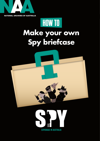

# **Make your own Spy briefcase HOW TO**



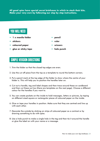**All good spies have special secret briefcases in which to stash their kits. Make your very own by following our step by step instructions.**

## **YOU WILL NEED**

- **Ć 1 x manila folder**
- **•** stickers
- **• coloured paper**
- **• glue or sticky tape**
- **Ć pencil**
- **Ć ruler**
- **Ć scissors**
- **•** hole punch

## **SIMPLE VERSION DIRECTIONS**

- 1. Trim the folder so that the closed top edges are even.
- 2. Use the cut off piece from the top as a template to round the bottom corners.
- 3. Put a pencil mark at the top edge of the folder to show where the centre of your folder is. This will help you to position the handles later on.
- 4. Cut out a handle, tag and label shapes and then trace around these on cardboard and then cut these out too (there are templates on the next page). Choose a different colour for the handles if you want to.
- 5. You can create pockets on the inside to hold messages, letters or pictures, by taping on different sized square or rectangular pieces of coloured paper on the inside.
- 6. Glue or tape your handles in position. Make sure that they are centred and line up with each other.
- 7. Decorate the outside by sticking on strips of coloured paper as a contrast or by drawing something to do with spies.
- 8. Use a hole punch to make a single hole in the tag and then tie it around the handle or glue the label on with your name or a message.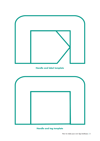

### **Handle and label template**



#### **Handle and tag template**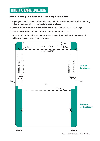## **TRICKIER 3D TEMPLATE DIRECTIONS**

#### **Hint: CUT along solid lines and FOLD along broken lines.**

- 1. Open your manila folder so that it lies flat, with the shorter edge at the top and long edge at the sides. (This is the inside of your briefcase.)
- 2. Draw a 3.5cm strip down **both sides** and then a 1cm strip nearer the edge.
- 3. Across the **top** draw a line 2cm from the top and another at 4.5 cm.

Have a look at the below templates to see how to draw the lines for cutting and folding to make your own Spy briefcase.